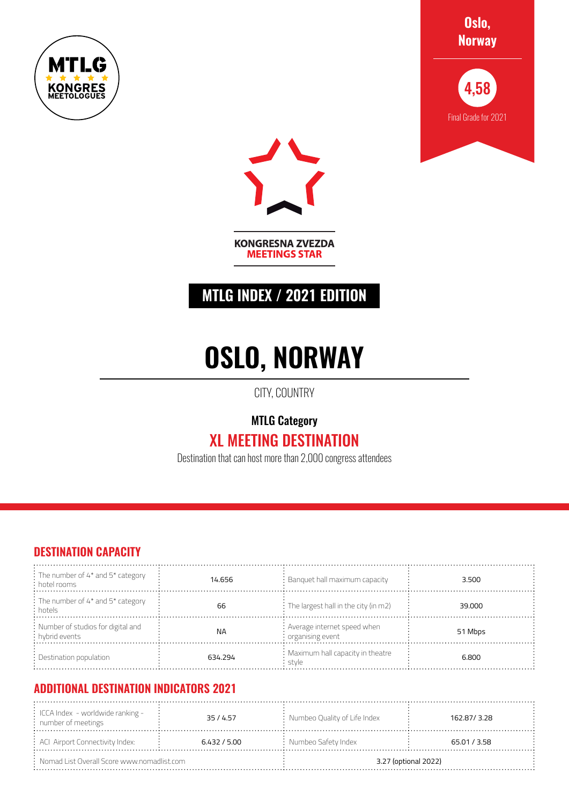





**KONGRESNA ZVEZDA MEETINGS STAR** 

### **MTLG INDEX / 2021 EDITION**

# **OSLO, NORWAY**

CITY, COUNTRY

MTLG Category

## XL MEETING DESTINATION

Destination that can host more than 2,000 congress attendees

#### **DESTINATION CAPACITY**

| $\frac{1}{2}$ The number of 4* and 5* category<br>$\frac{1}{2}$ hotel rooms | 14.656    | : Banquet hall maximum capacity                           | 3.500   |
|-----------------------------------------------------------------------------|-----------|-----------------------------------------------------------|---------|
| : The number of 4* and 5* category<br>: hotels                              | 66        | $\therefore$ The largest hall in the city (in m2)         | 39,000  |
| : Number of studios for digital and<br>: hybrid events                      | <b>NA</b> | : Average internet speed when<br>$\cdot$ organising event | 51 Mbps |
| : Destination population                                                    | 634.294   | : Maximum hall capacity in theatre<br>i stvle             | 6.800   |

#### **ADDITIONAL DESTINATION INDICATORS 2021**

| $\frac{1}{2}$ ICCA Index - worldwide ranking -<br>$:$ number of meetings | 35/4.57      | : Numbeo Quality of Life Index | 162.87/3.28  |
|--------------------------------------------------------------------------|--------------|--------------------------------|--------------|
| : ACI Airport Connectivity Index:                                        | 6.432 / 5.00 | $:$ Numbeo Safety Index        | 65.01 / 3.58 |
| $\therefore$ Nomad List Overall Score www.nomadlist.com                  |              | 3.27 (optional 2022)           |              |